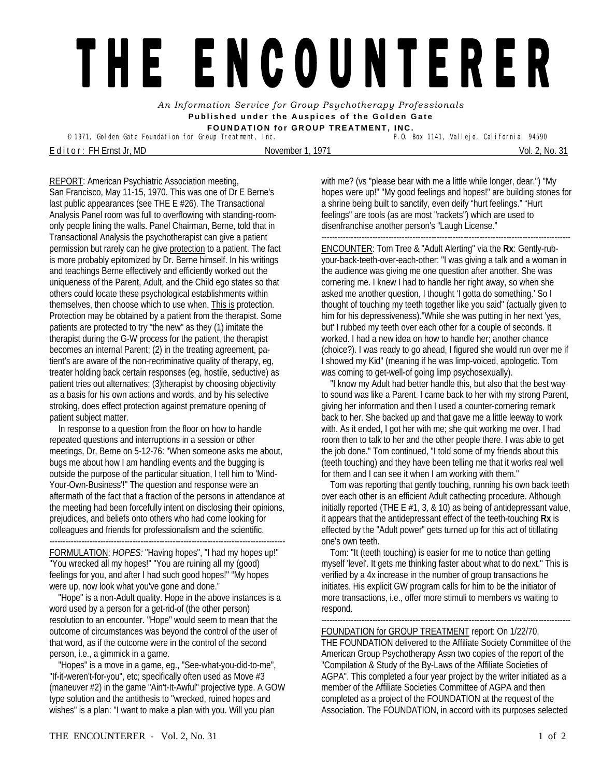## THE ENCOUNTERER

*An Information Service for Group Psychotherapy Professionals*  **Published under the Auspices of the Golden Gate FOUNDATION for GROUP TREATMENT, INC.** 

<sup>©</sup> 1971, Golden Gate Foundation for Group Treatment, Inc.

E d it or : FH Ernst Jr, MD November 1, 1971 Vol. 2, No. 31

REPORT: American Psychiatric Association meeting, San Francisco, May 11-15, 1970. This was one of Dr E Berne's last public appearances (see THE E #26). The Transactional Analysis Panel room was full to overflowing with standing-roomonly people lining the walls. Panel Chairman, Berne, told that in Transactional Analysis the psychotherapist can give a patient permission but rarely can he give protection to a patient. The fact is more probably epitomized by Dr. Berne himself. In his writings and teachings Berne effectively and efficiently worked out the uniqueness of the Parent, Adult, and the Child ego states so that others could locate these psychological establishments within themselves, then choose which to use when. This is protection. Protection may be obtained by a patient from the therapist. Some patients are protected to try "the new" as they (1) imitate the therapist during the G-W process for the patient, the therapist becomes an internal Parent; (2) in the treating agreement, patient's are aware of the non-recriminative quality of therapy, eg, treater holding back certain responses (eg, hostile, seductive) as patient tries out alternatives; (3)therapist by choosing objectivity as a basis for his own actions and words, and by his selective stroking, does effect protection against premature opening of patient subject matter.

 In response to a question from the floor on how to handle repeated questions and interruptions in a session or other meetings, Dr, Berne on 5-12-76: "When someone asks me about, bugs me about how I am handling events and the bugging is outside the purpose of the particular situation, I tell him to 'Mind-Your-Own-Business'!" The question and response were an aftermath of the fact that a fraction of the persons in attendance at the meeting had been forcefully intent on disclosing their opinions, prejudices, and beliefs onto others who had come looking for colleagues and friends for professionalism and the scientific. ----------------------------------------------------------------------------------------

FORMULATION: *HOPES:* "Having hopes", "I had my hopes up!" "You wrecked all my hopes!" "You are ruining all my (good) feelings for you, and after I had such good hopes!" "My hopes were up, now look what you've gone and done."

 "Hope" is a non-Adult quality. Hope in the above instances is a word used by a person for a get-rid-of (the other person) resolution to an encounter. "Hope" would seem to mean that the outcome of circumstances was beyond the control of the user of that word, as if the outcome were in the control of the second person, i.e., a gimmick in a game.

 "Hopes" is a move in a game, eg., "See-what-you-did-to-me", "If-it-weren't-for-you", etc; specifically often used as Move #3 (maneuver #2) in the game "Ain't-It-Awful" projective type. A GOW type solution and the antithesis to "wrecked, ruined hopes and wishes" is a plan: "I want to make a plan with you. Will you plan

with me? (vs "please bear with me a little while longer, dear.") "My hopes were up!" "My good feelings and hopes!" are building stones for a shrine being built to sanctify, even deify "hurt feelings." "Hurt feelings" are tools (as are most "rackets") which are used to disenfranchise another person's "Laugh License."

--------------------------------------------------------------------------------------------- ENCOUNTER: Tom Tree & "Adult Alerting" via the **Rx**: Gently-rubyour-back-teeth-over-each-other: "I was giving a talk and a woman in the audience was giving me one question after another. She was cornering me. I knew I had to handle her right away, so when she asked me another question, I thought 'I gotta do something.' So I thought of touching my teeth together like you said" (actually given to him for his depressiveness)."While she was putting in her next 'yes, but' I rubbed my teeth over each other for a couple of seconds. It worked. I had a new idea on how to handle her; another chance (choice?). I was ready to go ahead, I figured she would run over me if I showed my Kid" (meaning if he was limp-voiced, apologetic. Tom was coming to get-well-of going limp psychosexually).

 "I know my Adult had better handle this, but also that the best way to sound was like a Parent. I came back to her with my strong Parent, giving her information and then I used a counter-cornering remark back to her. She backed up and that gave me a little leeway to work with. As it ended, I got her with me; she quit working me over. I had room then to talk to her and the other people there. I was able to get the job done." Tom continued, "I told some of my friends about this (teeth touching) and they have been telling me that it works real well for them and I can see it when I am working with them."

 Tom was reporting that gently touching, running his own back teeth over each other is an efficient Adult cathecting procedure. Although initially reported (THE E #1, 3, & 10) as being of antidepressant value, it appears that the antidepressant effect of the teeth-touching **Rx** is effected by the "Adult power" gets turned up for this act of titillating one's own teeth.

 Tom: "It (teeth touching) is easier for me to notice than getting myself 'level'. It gets me thinking faster about what to do next." This is verified by a 4x increase in the number of group transactions he initiates. His explicit GW program calls for him to be the initiator of more transactions, i.e., offer more stimuli to members vs waiting to respond.

--------------------------------------------------------------------------------------------- FOUNDATION for GROUP TREATMENT report: On 1/22/70,

THE FOUNDATION delivered to the Affiliate Society Committee of the American Group Psychotherapy Assn two copies of the report of the "Compilation & Study of the By-Laws of the Affiliate Societies of AGPA". This completed a four year project by the writer initiated as a member of the Affiliate Societies Committee of AGPA and then completed as a project of the FOUNDATION at the request of the Association. The FOUNDATION, in accord with its purposes selected